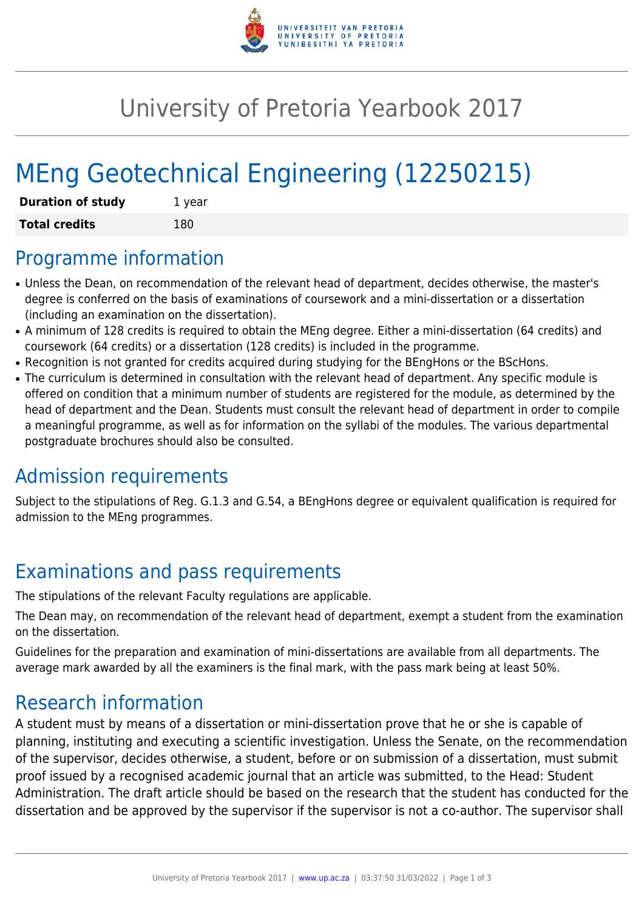

## University of Pretoria Yearbook 2017

# MEng Geotechnical Engineering (12250215)

| <b>Duration of study</b> | 1 year |
|--------------------------|--------|
| <b>Total credits</b>     | 180    |

#### Programme information

- Unless the Dean, on recommendation of the relevant head of department, decides otherwise, the master's degree is conferred on the basis of examinations of coursework and a mini-dissertation or a dissertation (including an examination on the dissertation).
- A minimum of 128 credits is required to obtain the MEng degree. Either a mini-dissertation (64 credits) and coursework (64 credits) or a dissertation (128 credits) is included in the programme.
- Recognition is not granted for credits acquired during studying for the BEngHons or the BScHons.
- The curriculum is determined in consultation with the relevant head of department. Any specific module is offered on condition that a minimum number of students are registered for the module, as determined by the head of department and the Dean. Students must consult the relevant head of department in order to compile a meaningful programme, as well as for information on the syllabi of the modules. The various departmental postgraduate brochures should also be consulted.

## Admission requirements

Subject to the stipulations of Reg. G.1.3 and G.54, a BEngHons degree or equivalent qualification is required for admission to the MEng programmes.

## Examinations and pass requirements

The stipulations of the relevant Faculty regulations are applicable.

The Dean may, on recommendation of the relevant head of department, exempt a student from the examination on the dissertation.

Guidelines for the preparation and examination of mini-dissertations are available from all departments. The average mark awarded by all the examiners is the final mark, with the pass mark being at least 50%.

#### Research information

A student must by means of a dissertation or mini-dissertation prove that he or she is capable of planning, instituting and executing a scientific investigation. Unless the Senate, on the recommendation of the supervisor, decides otherwise, a student, before or on submission of a dissertation, must submit proof issued by a recognised academic journal that an article was submitted, to the Head: Student Administration. The draft article should be based on the research that the student has conducted for the dissertation and be approved by the supervisor if the supervisor is not a co-author. The supervisor shall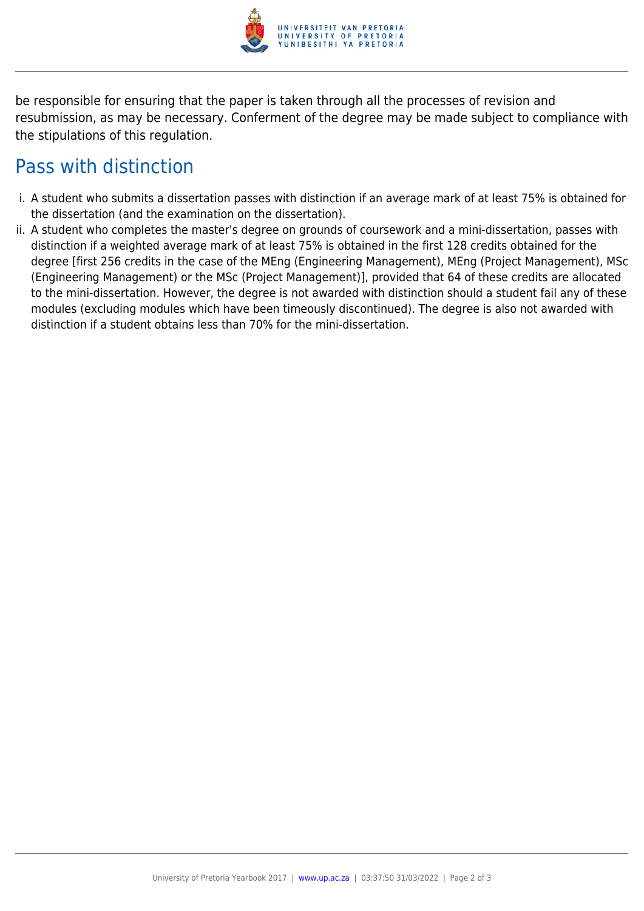

be responsible for ensuring that the paper is taken through all the processes of revision and resubmission, as may be necessary. Conferment of the degree may be made subject to compliance with the stipulations of this regulation.

#### Pass with distinction

- i. A student who submits a dissertation passes with distinction if an average mark of at least 75% is obtained for the dissertation (and the examination on the dissertation).
- ii. A student who completes the master's degree on grounds of coursework and a mini-dissertation, passes with distinction if a weighted average mark of at least 75% is obtained in the first 128 credits obtained for the degree [first 256 credits in the case of the MEng (Engineering Management), MEng (Project Management), MSc (Engineering Management) or the MSc (Project Management)], provided that 64 of these credits are allocated to the mini-dissertation. However, the degree is not awarded with distinction should a student fail any of these modules (excluding modules which have been timeously discontinued). The degree is also not awarded with distinction if a student obtains less than 70% for the mini-dissertation.